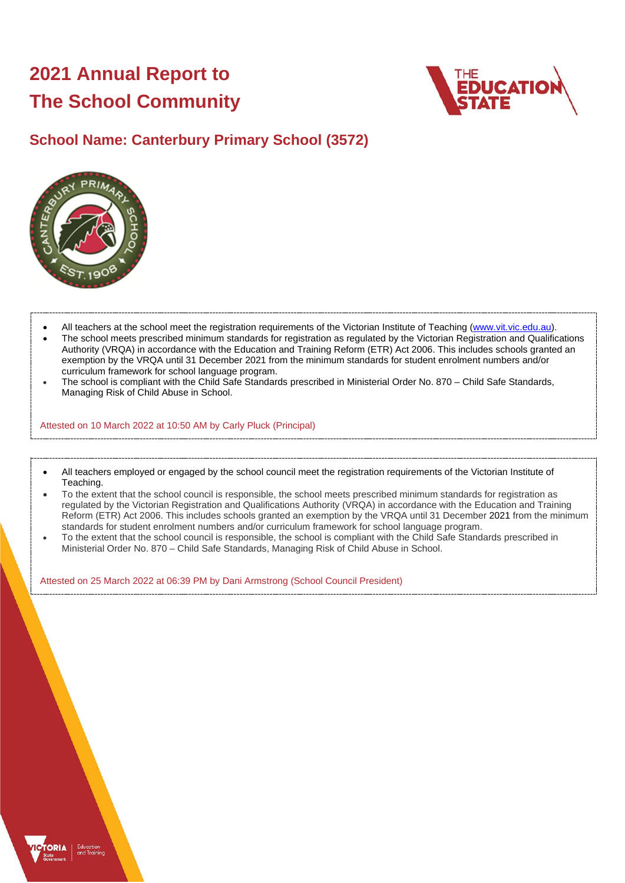# **2021 Annual Report to The School Community**



## **School Name: Canterbury Primary School (3572)**



- All teachers at the school meet the registration requirements of the Victorian Institute of Teaching [\(www.vit.vic.edu.au\)](https://www.vit.vic.edu.au/).
- The school meets prescribed minimum standards for registration as regulated by the Victorian Registration and Qualifications Authority (VRQA) in accordance with the Education and Training Reform (ETR) Act 2006. This includes schools granted an exemption by the VRQA until 31 December 2021 from the minimum standards for student enrolment numbers and/or curriculum framework for school language program.
- The school is compliant with the Child Safe Standards prescribed in Ministerial Order No. 870 Child Safe Standards, Managing Risk of Child Abuse in School.

Attested on 10 March 2022 at 10:50 AM by Carly Pluck (Principal)

- All teachers employed or engaged by the school council meet the registration requirements of the Victorian Institute of Teaching.
- To the extent that the school council is responsible, the school meets prescribed minimum standards for registration as regulated by the Victorian Registration and Qualifications Authority (VRQA) in accordance with the Education and Training Reform (ETR) Act 2006. This includes schools granted an exemption by the VRQA until 31 December 2021 from the minimum standards for student enrolment numbers and/or curriculum framework for school language program.
- To the extent that the school council is responsible, the school is compliant with the Child Safe Standards prescribed in Ministerial Order No. 870 – Child Safe Standards, Managing Risk of Child Abuse in School.

Attested on 25 March 2022 at 06:39 PM by Dani Armstrong (School Council President)

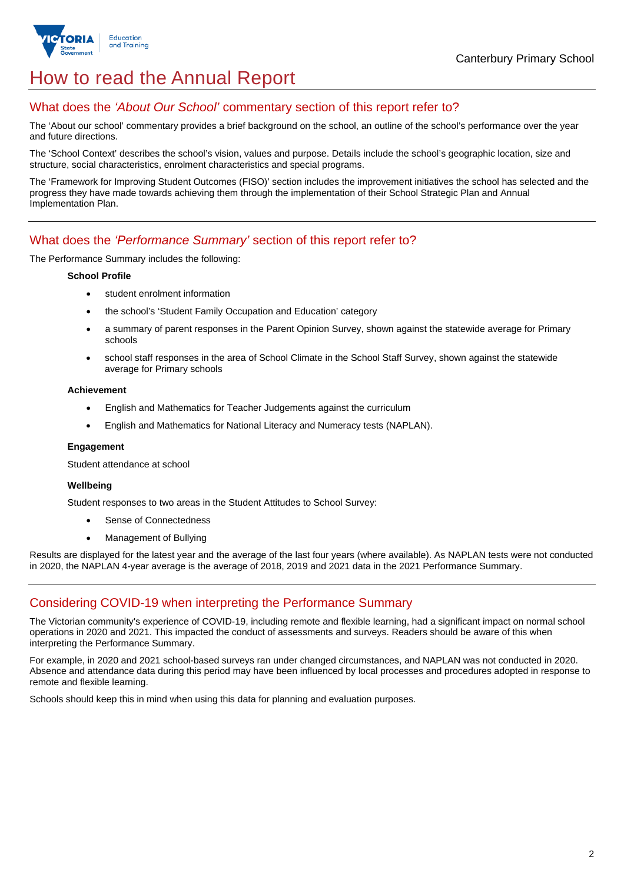

## How to read the Annual Report

## What does the *'About Our School'* commentary section of this report refer to?

The 'About our school' commentary provides a brief background on the school, an outline of the school's performance over the year and future directions.

The 'School Context' describes the school's vision, values and purpose. Details include the school's geographic location, size and structure, social characteristics, enrolment characteristics and special programs.

The 'Framework for Improving Student Outcomes (FISO)' section includes the improvement initiatives the school has selected and the progress they have made towards achieving them through the implementation of their School Strategic Plan and Annual Implementation Plan.

### What does the *'Performance Summary'* section of this report refer to?

The Performance Summary includes the following:

#### **School Profile**

- student enrolment information
- the school's 'Student Family Occupation and Education' category
- a summary of parent responses in the Parent Opinion Survey, shown against the statewide average for Primary schools
- school staff responses in the area of School Climate in the School Staff Survey, shown against the statewide average for Primary schools

#### **Achievement**

- English and Mathematics for Teacher Judgements against the curriculum
- English and Mathematics for National Literacy and Numeracy tests (NAPLAN).

#### **Engagement**

Student attendance at school

#### **Wellbeing**

Student responses to two areas in the Student Attitudes to School Survey:

- Sense of Connectedness
- Management of Bullying

Results are displayed for the latest year and the average of the last four years (where available). As NAPLAN tests were not conducted in 2020, the NAPLAN 4-year average is the average of 2018, 2019 and 2021 data in the 2021 Performance Summary.

### Considering COVID-19 when interpreting the Performance Summary

The Victorian community's experience of COVID-19, including remote and flexible learning, had a significant impact on normal school operations in 2020 and 2021. This impacted the conduct of assessments and surveys. Readers should be aware of this when interpreting the Performance Summary.

For example, in 2020 and 2021 school-based surveys ran under changed circumstances, and NAPLAN was not conducted in 2020. Absence and attendance data during this period may have been influenced by local processes and procedures adopted in response to remote and flexible learning.

Schools should keep this in mind when using this data for planning and evaluation purposes.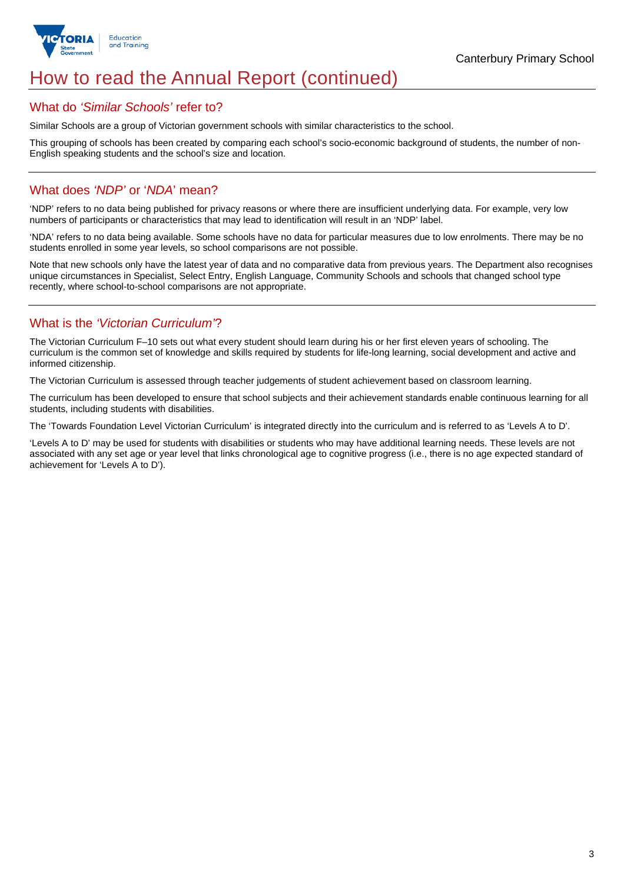

## How to read the Annual Report (continued)

#### What do *'Similar Schools'* refer to?

Similar Schools are a group of Victorian government schools with similar characteristics to the school.

This grouping of schools has been created by comparing each school's socio-economic background of students, the number of non-English speaking students and the school's size and location.

## What does *'NDP'* or '*NDA*' mean?

'NDP' refers to no data being published for privacy reasons or where there are insufficient underlying data. For example, very low numbers of participants or characteristics that may lead to identification will result in an 'NDP' label.

'NDA' refers to no data being available. Some schools have no data for particular measures due to low enrolments. There may be no students enrolled in some year levels, so school comparisons are not possible.

Note that new schools only have the latest year of data and no comparative data from previous years. The Department also recognises unique circumstances in Specialist, Select Entry, English Language, Community Schools and schools that changed school type recently, where school-to-school comparisons are not appropriate.

## What is the *'Victorian Curriculum'*?

The Victorian Curriculum F–10 sets out what every student should learn during his or her first eleven years of schooling. The curriculum is the common set of knowledge and skills required by students for life-long learning, social development and active and informed citizenship.

The Victorian Curriculum is assessed through teacher judgements of student achievement based on classroom learning.

The curriculum has been developed to ensure that school subjects and their achievement standards enable continuous learning for all students, including students with disabilities.

The 'Towards Foundation Level Victorian Curriculum' is integrated directly into the curriculum and is referred to as 'Levels A to D'.

'Levels A to D' may be used for students with disabilities or students who may have additional learning needs. These levels are not associated with any set age or year level that links chronological age to cognitive progress (i.e., there is no age expected standard of achievement for 'Levels A to D').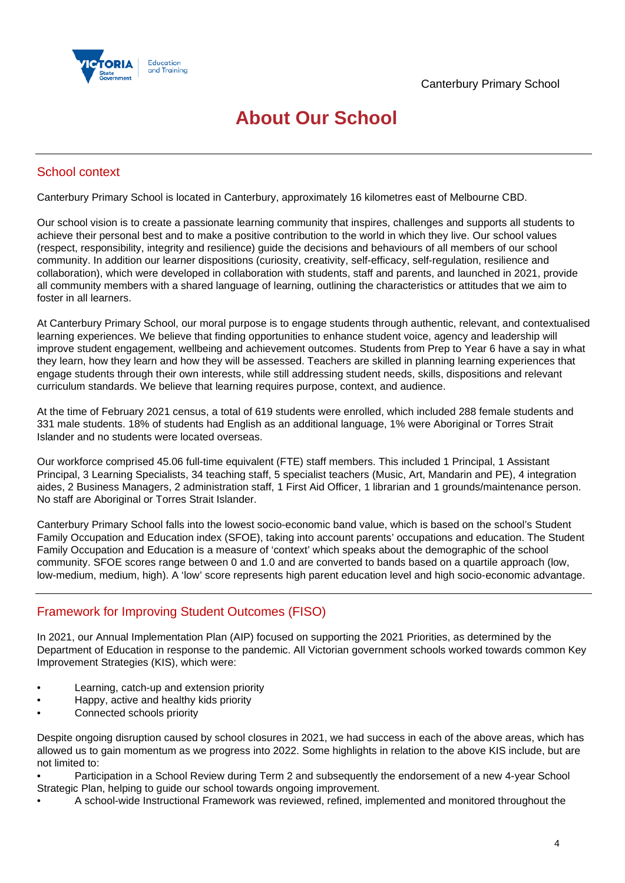

## **About Our School**

## School context

Canterbury Primary School is located in Canterbury, approximately 16 kilometres east of Melbourne CBD.

Our school vision is to create a passionate learning community that inspires, challenges and supports all students to achieve their personal best and to make a positive contribution to the world in which they live. Our school values (respect, responsibility, integrity and resilience) guide the decisions and behaviours of all members of our school community. In addition our learner dispositions (curiosity, creativity, self-efficacy, self-regulation, resilience and collaboration), which were developed in collaboration with students, staff and parents, and launched in 2021, provide all community members with a shared language of learning, outlining the characteristics or attitudes that we aim to foster in all learners.

At Canterbury Primary School, our moral purpose is to engage students through authentic, relevant, and contextualised learning experiences. We believe that finding opportunities to enhance student voice, agency and leadership will improve student engagement, wellbeing and achievement outcomes. Students from Prep to Year 6 have a say in what they learn, how they learn and how they will be assessed. Teachers are skilled in planning learning experiences that engage students through their own interests, while still addressing student needs, skills, dispositions and relevant curriculum standards. We believe that learning requires purpose, context, and audience.

At the time of February 2021 census, a total of 619 students were enrolled, which included 288 female students and 331 male students. 18% of students had English as an additional language, 1% were Aboriginal or Torres Strait Islander and no students were located overseas.

Our workforce comprised 45.06 full-time equivalent (FTE) staff members. This included 1 Principal, 1 Assistant Principal, 3 Learning Specialists, 34 teaching staff, 5 specialist teachers (Music, Art, Mandarin and PE), 4 integration aides, 2 Business Managers, 2 administration staff, 1 First Aid Officer, 1 librarian and 1 grounds/maintenance person. No staff are Aboriginal or Torres Strait Islander.

Canterbury Primary School falls into the lowest socio-economic band value, which is based on the school's Student Family Occupation and Education index (SFOE), taking into account parents' occupations and education. The Student Family Occupation and Education is a measure of 'context' which speaks about the demographic of the school community. SFOE scores range between 0 and 1.0 and are converted to bands based on a quartile approach (low, low-medium, medium, high). A 'low' score represents high parent education level and high socio-economic advantage.

## Framework for Improving Student Outcomes (FISO)

In 2021, our Annual Implementation Plan (AIP) focused on supporting the 2021 Priorities, as determined by the Department of Education in response to the pandemic. All Victorian government schools worked towards common Key Improvement Strategies (KIS), which were:

- Learning, catch-up and extension priority
- Happy, active and healthy kids priority
- Connected schools priority

Despite ongoing disruption caused by school closures in 2021, we had success in each of the above areas, which has allowed us to gain momentum as we progress into 2022. Some highlights in relation to the above KIS include, but are not limited to:

• Participation in a School Review during Term 2 and subsequently the endorsement of a new 4-year School Strategic Plan, helping to guide our school towards ongoing improvement.

• A school-wide Instructional Framework was reviewed, refined, implemented and monitored throughout the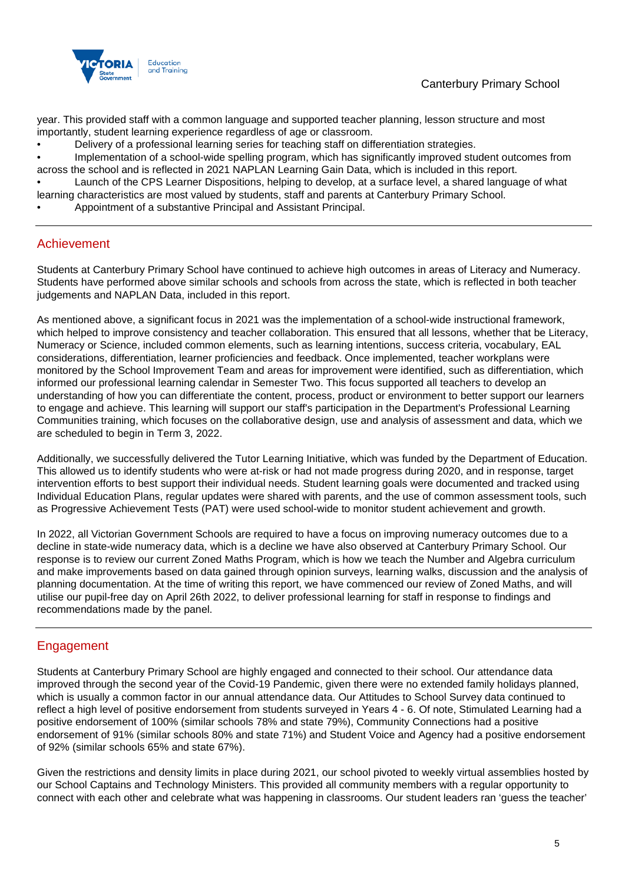

year. This provided staff with a common language and supported teacher planning, lesson structure and most importantly, student learning experience regardless of age or classroom.

- Delivery of a professional learning series for teaching staff on differentiation strategies.
- Implementation of a school-wide spelling program, which has significantly improved student outcomes from across the school and is reflected in 2021 NAPLAN Learning Gain Data, which is included in this report.

• Launch of the CPS Learner Dispositions, helping to develop, at a surface level, a shared language of what learning characteristics are most valued by students, staff and parents at Canterbury Primary School.

• Appointment of a substantive Principal and Assistant Principal.

### Achievement

Students at Canterbury Primary School have continued to achieve high outcomes in areas of Literacy and Numeracy. Students have performed above similar schools and schools from across the state, which is reflected in both teacher judgements and NAPLAN Data, included in this report.

As mentioned above, a significant focus in 2021 was the implementation of a school-wide instructional framework, which helped to improve consistency and teacher collaboration. This ensured that all lessons, whether that be Literacy, Numeracy or Science, included common elements, such as learning intentions, success criteria, vocabulary, EAL considerations, differentiation, learner proficiencies and feedback. Once implemented, teacher workplans were monitored by the School Improvement Team and areas for improvement were identified, such as differentiation, which informed our professional learning calendar in Semester Two. This focus supported all teachers to develop an understanding of how you can differentiate the content, process, product or environment to better support our learners to engage and achieve. This learning will support our staff's participation in the Department's Professional Learning Communities training, which focuses on the collaborative design, use and analysis of assessment and data, which we are scheduled to begin in Term 3, 2022.

Additionally, we successfully delivered the Tutor Learning Initiative, which was funded by the Department of Education. This allowed us to identify students who were at-risk or had not made progress during 2020, and in response, target intervention efforts to best support their individual needs. Student learning goals were documented and tracked using Individual Education Plans, regular updates were shared with parents, and the use of common assessment tools, such as Progressive Achievement Tests (PAT) were used school-wide to monitor student achievement and growth.

In 2022, all Victorian Government Schools are required to have a focus on improving numeracy outcomes due to a decline in state-wide numeracy data, which is a decline we have also observed at Canterbury Primary School. Our response is to review our current Zoned Maths Program, which is how we teach the Number and Algebra curriculum and make improvements based on data gained through opinion surveys, learning walks, discussion and the analysis of planning documentation. At the time of writing this report, we have commenced our review of Zoned Maths, and will utilise our pupil-free day on April 26th 2022, to deliver professional learning for staff in response to findings and recommendations made by the panel.

## Engagement

Students at Canterbury Primary School are highly engaged and connected to their school. Our attendance data improved through the second year of the Covid-19 Pandemic, given there were no extended family holidays planned, which is usually a common factor in our annual attendance data. Our Attitudes to School Survey data continued to reflect a high level of positive endorsement from students surveyed in Years 4 - 6. Of note, Stimulated Learning had a positive endorsement of 100% (similar schools 78% and state 79%), Community Connections had a positive endorsement of 91% (similar schools 80% and state 71%) and Student Voice and Agency had a positive endorsement of 92% (similar schools 65% and state 67%).

Given the restrictions and density limits in place during 2021, our school pivoted to weekly virtual assemblies hosted by our School Captains and Technology Ministers. This provided all community members with a regular opportunity to connect with each other and celebrate what was happening in classrooms. Our student leaders ran 'guess the teacher'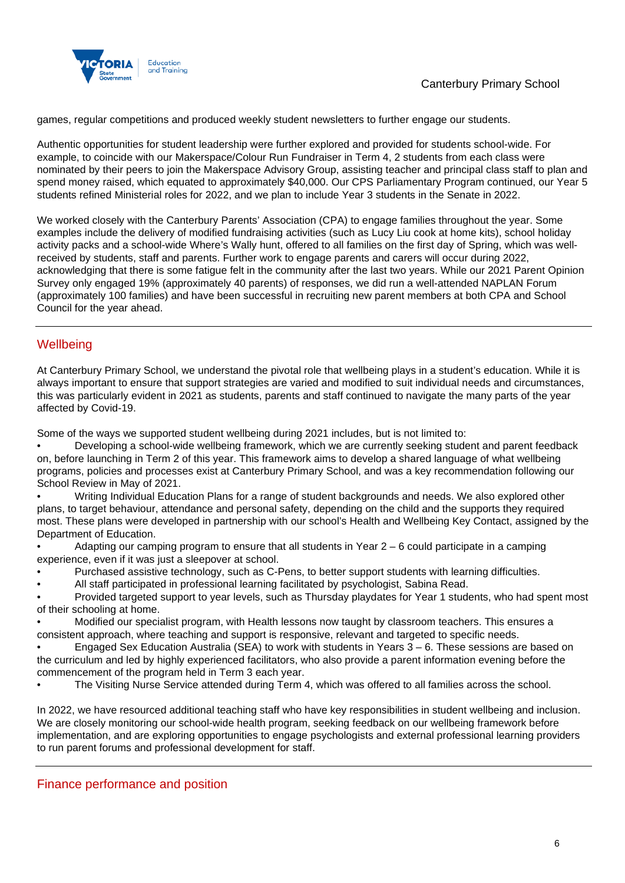

games, regular competitions and produced weekly student newsletters to further engage our students.

Authentic opportunities for student leadership were further explored and provided for students school-wide. For example, to coincide with our Makerspace/Colour Run Fundraiser in Term 4, 2 students from each class were nominated by their peers to join the Makerspace Advisory Group, assisting teacher and principal class staff to plan and spend money raised, which equated to approximately \$40,000. Our CPS Parliamentary Program continued, our Year 5 students refined Ministerial roles for 2022, and we plan to include Year 3 students in the Senate in 2022.

We worked closely with the Canterbury Parents' Association (CPA) to engage families throughout the year. Some examples include the delivery of modified fundraising activities (such as Lucy Liu cook at home kits), school holiday activity packs and a school-wide Where's Wally hunt, offered to all families on the first day of Spring, which was wellreceived by students, staff and parents. Further work to engage parents and carers will occur during 2022, acknowledging that there is some fatigue felt in the community after the last two years. While our 2021 Parent Opinion Survey only engaged 19% (approximately 40 parents) of responses, we did run a well-attended NAPLAN Forum (approximately 100 families) and have been successful in recruiting new parent members at both CPA and School Council for the year ahead.

## **Wellbeing**

At Canterbury Primary School, we understand the pivotal role that wellbeing plays in a student's education. While it is always important to ensure that support strategies are varied and modified to suit individual needs and circumstances, this was particularly evident in 2021 as students, parents and staff continued to navigate the many parts of the year affected by Covid-19.

Some of the ways we supported student wellbeing during 2021 includes, but is not limited to:

• Developing a school-wide wellbeing framework, which we are currently seeking student and parent feedback on, before launching in Term 2 of this year. This framework aims to develop a shared language of what wellbeing programs, policies and processes exist at Canterbury Primary School, and was a key recommendation following our School Review in May of 2021.

• Writing Individual Education Plans for a range of student backgrounds and needs. We also explored other plans, to target behaviour, attendance and personal safety, depending on the child and the supports they required most. These plans were developed in partnership with our school's Health and Wellbeing Key Contact, assigned by the Department of Education.

Adapting our camping program to ensure that all students in Year  $2 - 6$  could participate in a camping experience, even if it was just a sleepover at school.

- Purchased assistive technology, such as C-Pens, to better support students with learning difficulties.
- All staff participated in professional learning facilitated by psychologist, Sabina Read.

• Provided targeted support to year levels, such as Thursday playdates for Year 1 students, who had spent most of their schooling at home.

• Modified our specialist program, with Health lessons now taught by classroom teachers. This ensures a consistent approach, where teaching and support is responsive, relevant and targeted to specific needs.

• Engaged Sex Education Australia (SEA) to work with students in Years 3 – 6. These sessions are based on the curriculum and led by highly experienced facilitators, who also provide a parent information evening before the commencement of the program held in Term 3 each year.

• The Visiting Nurse Service attended during Term 4, which was offered to all families across the school.

In 2022, we have resourced additional teaching staff who have key responsibilities in student wellbeing and inclusion. We are closely monitoring our school-wide health program, seeking feedback on our wellbeing framework before implementation, and are exploring opportunities to engage psychologists and external professional learning providers to run parent forums and professional development for staff.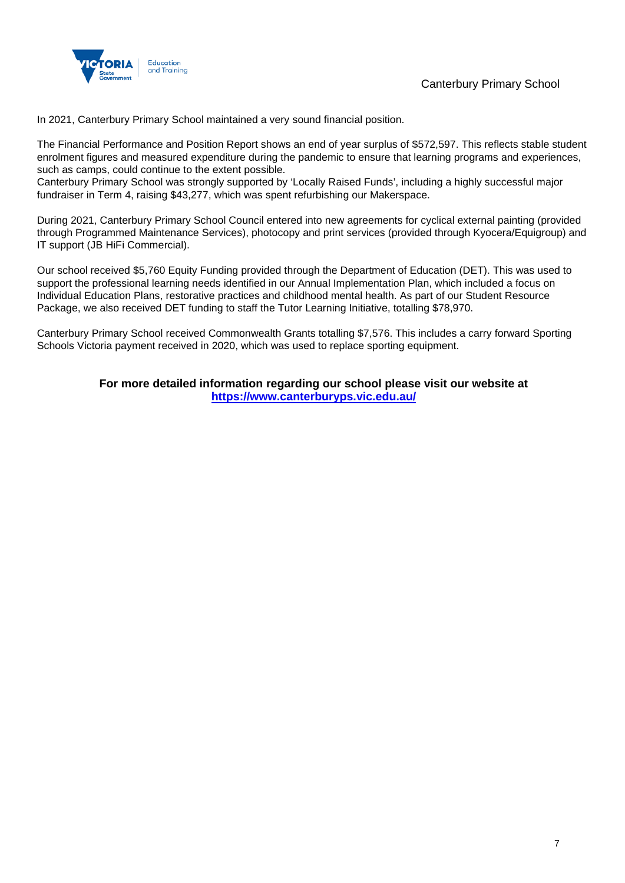

Canterbury Primary School

In 2021, Canterbury Primary School maintained a very sound financial position.

The Financial Performance and Position Report shows an end of year surplus of \$572,597. This reflects stable student enrolment figures and measured expenditure during the pandemic to ensure that learning programs and experiences, such as camps, could continue to the extent possible.

Canterbury Primary School was strongly supported by 'Locally Raised Funds', including a highly successful major fundraiser in Term 4, raising \$43,277, which was spent refurbishing our Makerspace.

During 2021, Canterbury Primary School Council entered into new agreements for cyclical external painting (provided through Programmed Maintenance Services), photocopy and print services (provided through Kyocera/Equigroup) and IT support (JB HiFi Commercial).

Our school received \$5,760 Equity Funding provided through the Department of Education (DET). This was used to support the professional learning needs identified in our Annual Implementation Plan, which included a focus on Individual Education Plans, restorative practices and childhood mental health. As part of our Student Resource Package, we also received DET funding to staff the Tutor Learning Initiative, totalling \$78,970.

Canterbury Primary School received Commonwealth Grants totalling \$7,576. This includes a carry forward Sporting Schools Victoria payment received in 2020, which was used to replace sporting equipment.

> **For more detailed information regarding our school please visit our website at <https://www.canterburyps.vic.edu.au/>**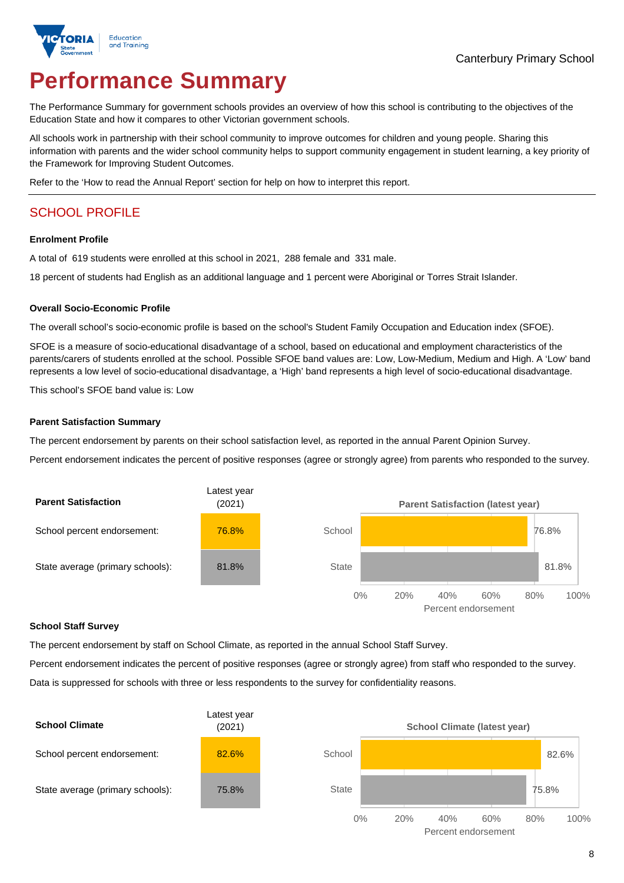

# **Performance Summary**

The Performance Summary for government schools provides an overview of how this school is contributing to the objectives of the Education State and how it compares to other Victorian government schools.

All schools work in partnership with their school community to improve outcomes for children and young people. Sharing this information with parents and the wider school community helps to support community engagement in student learning, a key priority of the Framework for Improving Student Outcomes.

Refer to the 'How to read the Annual Report' section for help on how to interpret this report.

## SCHOOL PROFILE

#### **Enrolment Profile**

A total of 619 students were enrolled at this school in 2021, 288 female and 331 male.

18 percent of students had English as an additional language and 1 percent were Aboriginal or Torres Strait Islander.

#### **Overall Socio-Economic Profile**

The overall school's socio-economic profile is based on the school's Student Family Occupation and Education index (SFOE).

SFOE is a measure of socio-educational disadvantage of a school, based on educational and employment characteristics of the parents/carers of students enrolled at the school. Possible SFOE band values are: Low, Low-Medium, Medium and High. A 'Low' band represents a low level of socio-educational disadvantage, a 'High' band represents a high level of socio-educational disadvantage.

This school's SFOE band value is: Low

#### **Parent Satisfaction Summary**

The percent endorsement by parents on their school satisfaction level, as reported in the annual Parent Opinion Survey.

Percent endorsement indicates the percent of positive responses (agree or strongly agree) from parents who responded to the survey.



#### **School Staff Survey**

The percent endorsement by staff on School Climate, as reported in the annual School Staff Survey.

Percent endorsement indicates the percent of positive responses (agree or strongly agree) from staff who responded to the survey. Data is suppressed for schools with three or less respondents to the survey for confidentiality reasons.

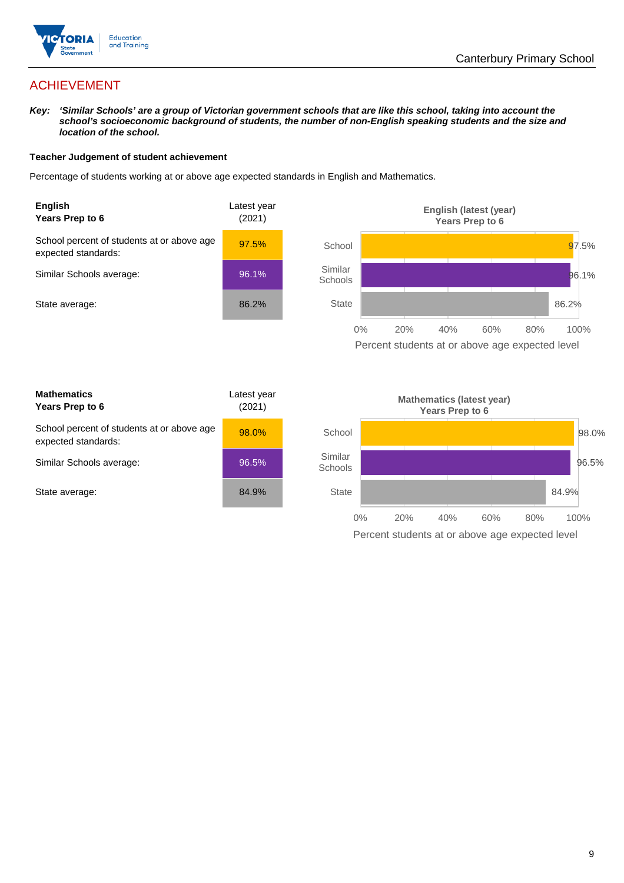

## ACHIEVEMENT

*Key: 'Similar Schools' are a group of Victorian government schools that are like this school, taking into account the*  school's socioeconomic background of students, the number of non-English speaking students and the size and *location of the school.*

#### **Teacher Judgement of student achievement**

Percentage of students working at or above age expected standards in English and Mathematics.



**Mathematics Years Prep to 6** Latest year (2021) School percent of students at or above age expected standards: 98.0% Similar Schools average: 96.5% State average: 84.9%

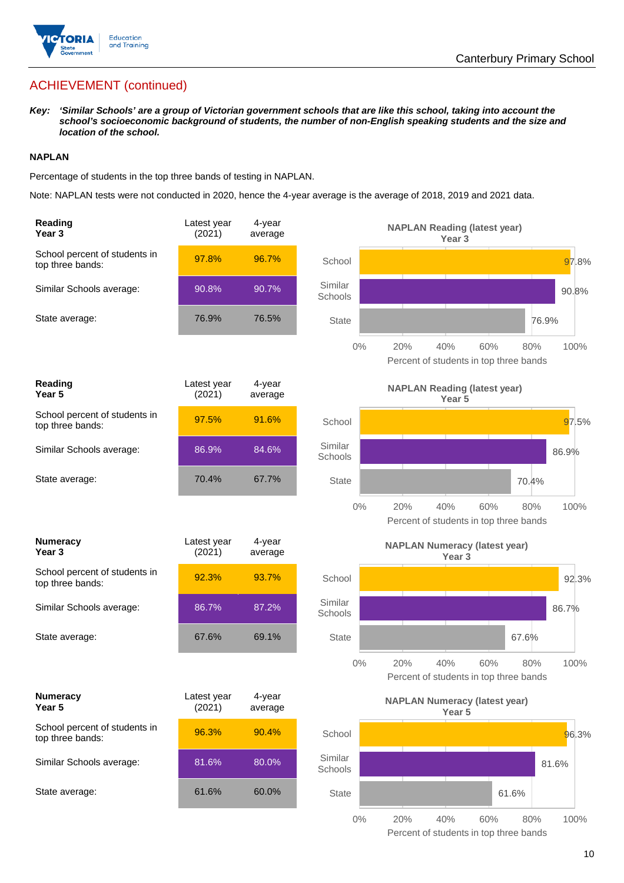

## ACHIEVEMENT (continued)

*Key: 'Similar Schools' are a group of Victorian government schools that are like this school, taking into account the school's socioeconomic background of students, the number of non-English speaking students and the size and location of the school.*

#### **NAPLAN**

Percentage of students in the top three bands of testing in NAPLAN.

Note: NAPLAN tests were not conducted in 2020, hence the 4-year average is the average of 2018, 2019 and 2021 data.

| Reading<br>Year <sub>3</sub>                      | Latest year<br>(2021) | 4-year<br>average |                    | <b>NAPLAN Reading (latest year)</b><br>Year <sub>3</sub>                   |  |
|---------------------------------------------------|-----------------------|-------------------|--------------------|----------------------------------------------------------------------------|--|
| School percent of students in<br>top three bands: | 97.8%                 | 96.7%             | School             | 97.8%                                                                      |  |
| Similar Schools average:                          | 90.8%                 | 90.7%             | Similar<br>Schools | 90.8%                                                                      |  |
| State average:                                    | 76.9%                 | 76.5%             | <b>State</b>       | 76.9%                                                                      |  |
|                                                   |                       |                   | $0\%$              | 40%<br>20%<br>60%<br>80%<br>100%<br>Percent of students in top three bands |  |
| Reading<br>Year 5                                 | Latest year<br>(2021) | 4-year<br>average |                    | <b>NAPLAN Reading (latest year)</b><br>Year 5                              |  |
| School percent of students in<br>top three bands: | 97.5%                 | 91.6%             | School             | 97.5%                                                                      |  |
| Similar Schools average:                          | 86.9%                 | 84.6%             | Similar<br>Schools | 86.9%                                                                      |  |
| State average:                                    | 70.4%                 | 67.7%             | <b>State</b>       | 70.4%                                                                      |  |
|                                                   |                       |                   | $0\%$              | 20%<br>40%<br>60%<br>100%<br>80%<br>Percent of students in top three bands |  |
| <b>Numeracy</b><br>Year <sub>3</sub>              | Latest year<br>(2021) | 4-year<br>average |                    | <b>NAPLAN Numeracy (latest year)</b><br>Year <sub>3</sub>                  |  |
| School percent of students in<br>top three bands: | 92.3%                 | 93.7%             | School             | 92.3%                                                                      |  |
| Similar Schools average:                          | 86.7%                 | 87.2%             | Similar<br>Schools | 86.7%                                                                      |  |
| State average:                                    | 67.6%                 | 69.1%             | <b>State</b>       | 67.6%                                                                      |  |
|                                                   |                       |                   | $0\%$              | 100%<br>20%<br>40%<br>60%<br>80%<br>Percent of students in top three bands |  |
| <b>Numeracy</b><br>Year 5                         | Latest year<br>(2021) | 4-year<br>average |                    | <b>NAPLAN Numeracy (latest year)</b><br>Year 5                             |  |
| School percent of students in<br>top three bands: | 96.3%                 | 90.4%             | School             | 96.3%                                                                      |  |
| Similar Schools average:                          | 81.6%                 | 80.0%             | Similar<br>Schools | 81.6%                                                                      |  |
| State average:                                    | 61.6%                 | 60.0%             | State              | 61.6%                                                                      |  |
|                                                   |                       |                   | $0\%$              | 20%<br>40%<br>60%<br>80%<br>100%                                           |  |

Percent of students in top three bands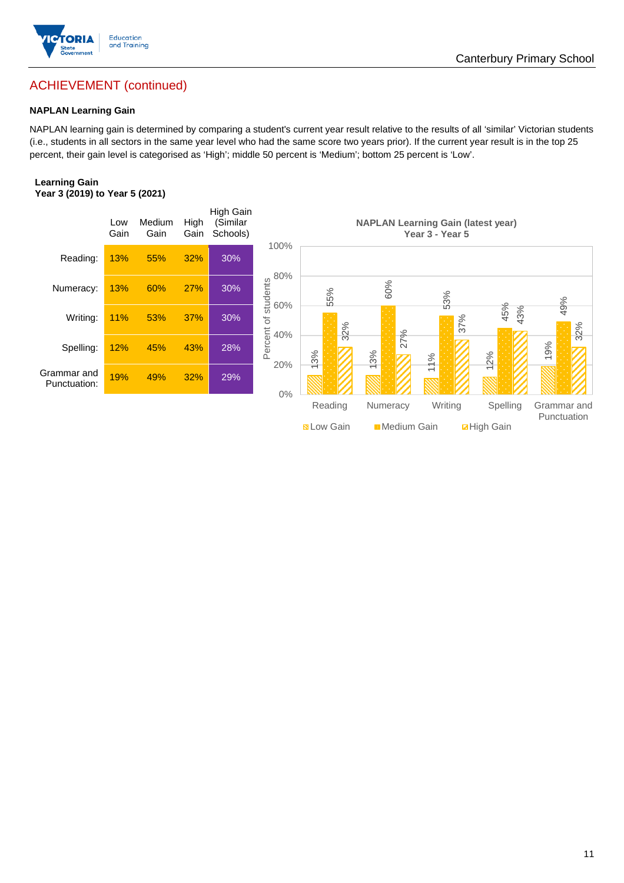

## ACHIEVEMENT (continued)

#### **NAPLAN Learning Gain**

NAPLAN learning gain is determined by comparing a student's current year result relative to the results of all 'similar' Victorian students (i.e., students in all sectors in the same year level who had the same score two years prior). If the current year result is in the top 25 percent, their gain level is categorised as 'High'; middle 50 percent is 'Medium'; bottom 25 percent is 'Low'.

#### **Learning Gain Year 3 (2019) to Year 5 (2021)**

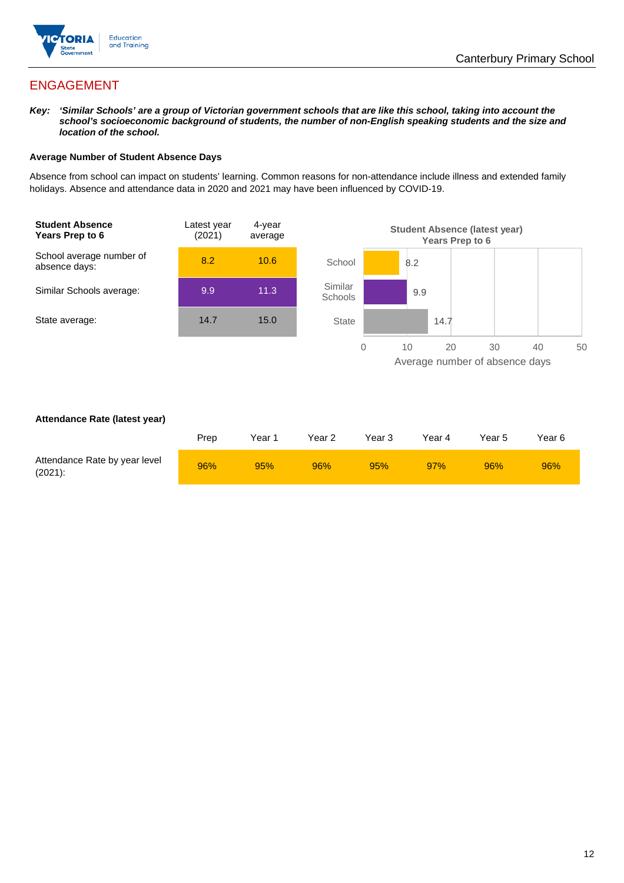

## ENGAGEMENT

*Key: 'Similar Schools' are a group of Victorian government schools that are like this school, taking into account the*  school's socioeconomic background of students, the number of non-English speaking students and the size and *location of the school.*

#### **Average Number of Student Absence Days**

Absence from school can impact on students' learning. Common reasons for non-attendance include illness and extended family holidays. Absence and attendance data in 2020 and 2021 may have been influenced by COVID-19.



#### **Attendance Rate (latest year)**

|                                             | Prep | Year 1 | Year 2 | Year 3 | Year 4 | Year 5 | Year 6 |
|---------------------------------------------|------|--------|--------|--------|--------|--------|--------|
| Attendance Rate by year level<br>$(2021)$ : | 96%  | 95%    | 96%    | 95%    | 97%    | 96%    | 96%    |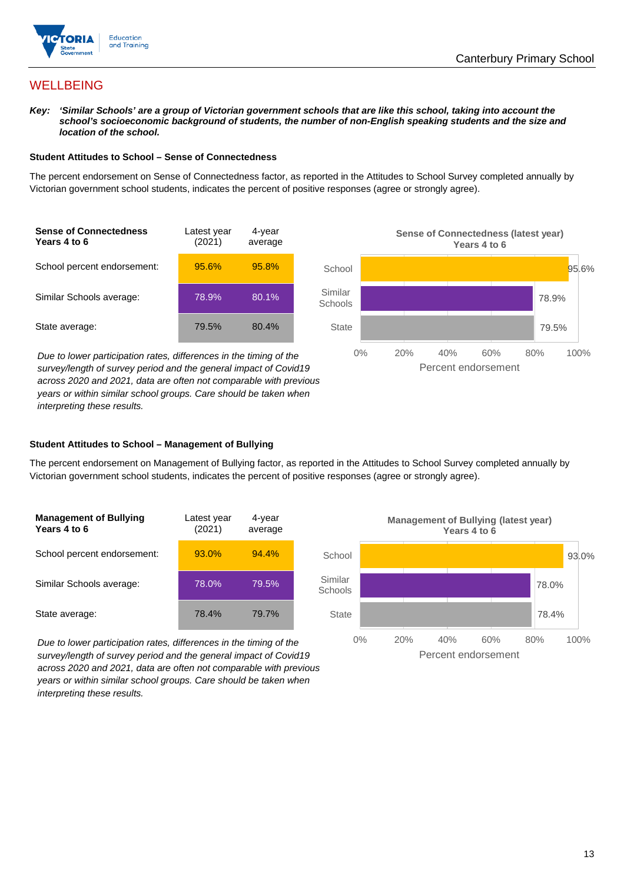

## **WELLBEING**

*Key: 'Similar Schools' are a group of Victorian government schools that are like this school, taking into account the*  school's socioeconomic background of students, the number of non-English speaking students and the size and *location of the school.*

#### **Student Attitudes to School – Sense of Connectedness**

The percent endorsement on Sense of Connectedness factor, as reported in the Attitudes to School Survey completed annually by Victorian government school students, indicates the percent of positive responses (agree or strongly agree).



*Due to lower participation rates, differences in the timing of the survey/length of survey period and the general impact of Covid19 across 2020 and 2021, data are often not comparable with previous years or within similar school groups. Care should be taken when interpreting these results.*



#### **Student Attitudes to School – Management of Bullying**

The percent endorsement on Management of Bullying factor, as reported in the Attitudes to School Survey completed annually by Victorian government school students, indicates the percent of positive responses (agree or strongly agree).

| <b>Management of Bullying</b><br>Years 4 to 6 | Latest year<br>(2021) | 4-year<br>average |  |
|-----------------------------------------------|-----------------------|-------------------|--|
| School percent endorsement:                   | 93.0%                 | 94.4%             |  |
| Similar Schools average:                      | 78.0%                 | 79.5%             |  |
| State average:                                | 78.4%                 | 79.7%             |  |

*Due to lower participation rates, differences in the timing of the survey/length of survey period and the general impact of Covid19 across 2020 and 2021, data are often not comparable with previous years or within similar school groups. Care should be taken when interpreting these results.*

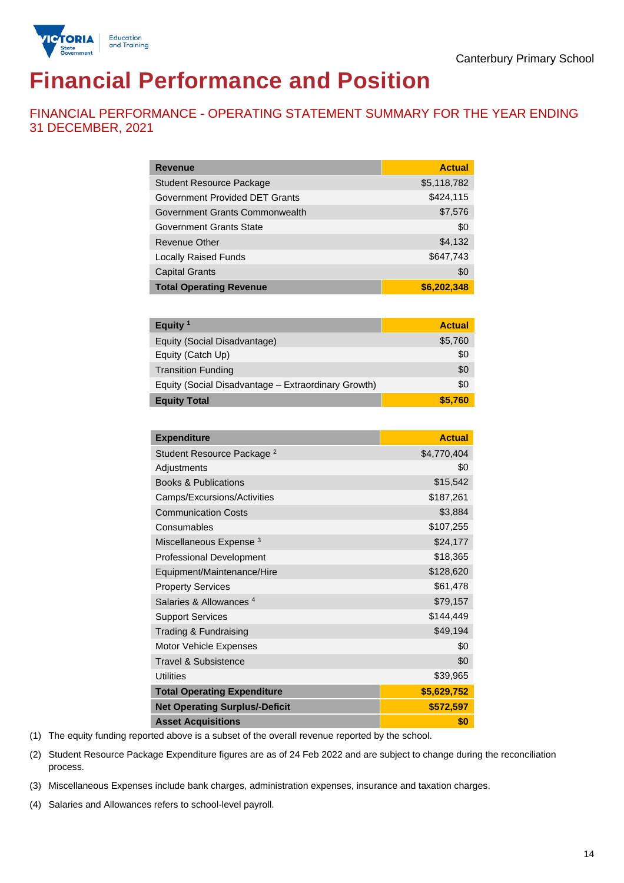

# **Financial Performance and Position**

FINANCIAL PERFORMANCE - OPERATING STATEMENT SUMMARY FOR THE YEAR ENDING 31 DECEMBER, 2021

| <b>Revenue</b>                  | <b>Actual</b> |
|---------------------------------|---------------|
| <b>Student Resource Package</b> | \$5,118,782   |
| Government Provided DET Grants  | \$424,115     |
| Government Grants Commonwealth  | \$7,576       |
| <b>Government Grants State</b>  | \$0           |
| <b>Revenue Other</b>            | \$4,132       |
| <b>Locally Raised Funds</b>     | \$647,743     |
| <b>Capital Grants</b>           | \$0           |
| <b>Total Operating Revenue</b>  | \$6,202,348   |

| Equity $1$                                          | <b>Actual</b> |
|-----------------------------------------------------|---------------|
| Equity (Social Disadvantage)                        | \$5,760       |
| Equity (Catch Up)                                   | \$0           |
| <b>Transition Funding</b>                           | \$0           |
| Equity (Social Disadvantage - Extraordinary Growth) | \$0           |
| <b>Equity Total</b>                                 | \$5.760       |

| <b>Expenditure</b>                    | <b>Actual</b> |
|---------------------------------------|---------------|
| Student Resource Package <sup>2</sup> | \$4,770,404   |
| Adjustments                           | \$0           |
| <b>Books &amp; Publications</b>       | \$15,542      |
| Camps/Excursions/Activities           | \$187,261     |
| <b>Communication Costs</b>            | \$3,884       |
| Consumables                           | \$107,255     |
| Miscellaneous Expense <sup>3</sup>    | \$24,177      |
| <b>Professional Development</b>       | \$18,365      |
| Equipment/Maintenance/Hire            | \$128,620     |
| <b>Property Services</b>              | \$61,478      |
| Salaries & Allowances <sup>4</sup>    | \$79,157      |
| <b>Support Services</b>               | \$144,449     |
| Trading & Fundraising                 | \$49,194      |
| Motor Vehicle Expenses                | \$0           |
| Travel & Subsistence                  | \$0           |
| <b>Utilities</b>                      | \$39,965      |
| <b>Total Operating Expenditure</b>    | \$5,629,752   |
| <b>Net Operating Surplus/-Deficit</b> | \$572,597     |
| <b>Asset Acquisitions</b>             | \$0           |

(1) The equity funding reported above is a subset of the overall revenue reported by the school.

(2) Student Resource Package Expenditure figures are as of 24 Feb 2022 and are subject to change during the reconciliation process.

(3) Miscellaneous Expenses include bank charges, administration expenses, insurance and taxation charges.

(4) Salaries and Allowances refers to school-level payroll.